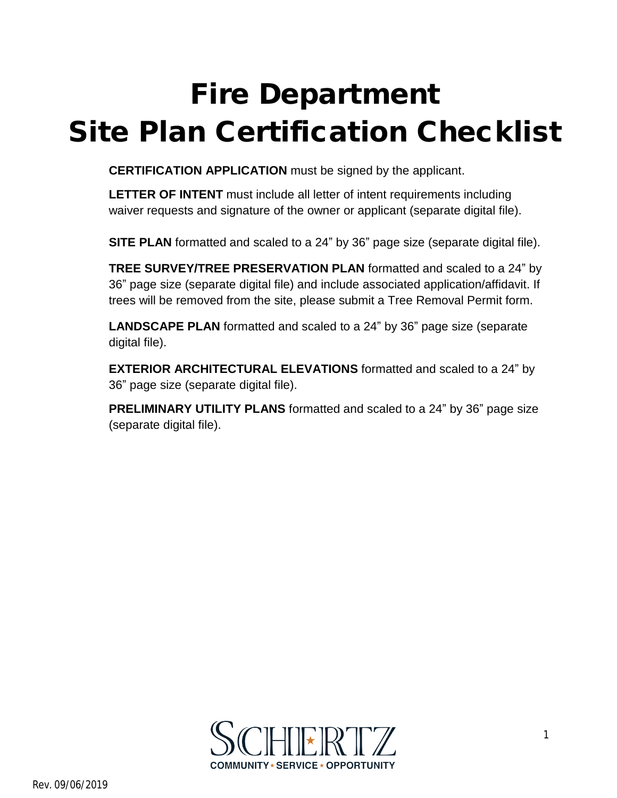## **Fire Department Site Plan Certification Checklist**

**CERTIFICATION APPLICATION** must be signed by the applicant.

**LETTER OF INTENT** must include all letter of intent requirements including waiver requests and signature of the owner or applicant (separate digital file).

**SITE PLAN** formatted and scaled to a 24" by 36" page size (separate digital file).

**TREE SURVEY/TREE PRESERVATION PLAN** formatted and scaled to a 24" by 36" page size (separate digital file) and include associated application/affidavit. If trees will be removed from the site, please submit a Tree Removal Permit form.

**LANDSCAPE PLAN** formatted and scaled to a 24" by 36" page size (separate digital file).

**EXTERIOR ARCHITECTURAL ELEVATIONS** formatted and scaled to a 24" by 36" page size (separate digital file).

**PRELIMINARY UTILITY PLANS** formatted and scaled to a 24" by 36" page size (separate digital file).

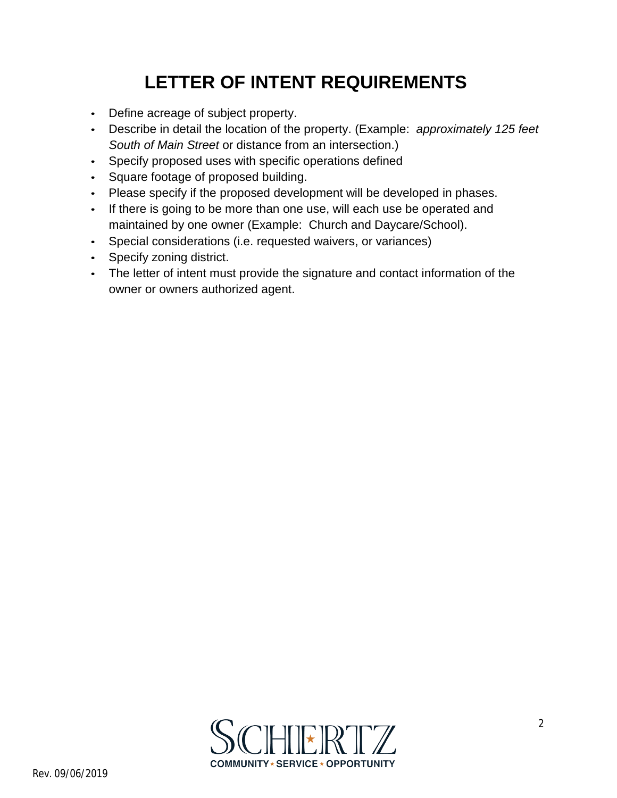## **LETTER OF INTENT REQUIREMENTS**

- Define acreage of subject property.
- Describe in detail the location of the property. (Example: *approximately 125 feet South of Main Street* or distance from an intersection.)
- Specify proposed uses with specific operations defined
- Square footage of proposed building.
- Please specify if the proposed development will be developed in phases.
- If there is going to be more than one use, will each use be operated and maintained by one owner (Example: Church and Daycare/School).
- Special considerations (i.e. requested waivers, or variances)
- Specify zoning district.
- The letter of intent must provide the signature and contact information of the owner or owners authorized agent.

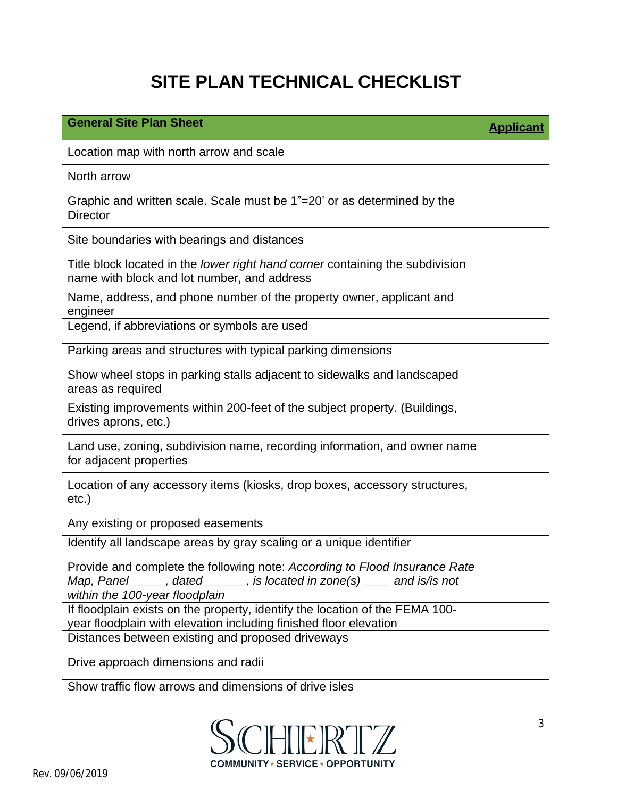## **SITE PLAN TECHNICAL CHECKLIST**

| <b>General Site Plan Sheet</b>                                                                                                                                                                         | <b>Applicant</b> |
|--------------------------------------------------------------------------------------------------------------------------------------------------------------------------------------------------------|------------------|
| Location map with north arrow and scale                                                                                                                                                                |                  |
| North arrow                                                                                                                                                                                            |                  |
| Graphic and written scale. Scale must be 1"=20' or as determined by the<br><b>Director</b>                                                                                                             |                  |
| Site boundaries with bearings and distances                                                                                                                                                            |                  |
| Title block located in the lower right hand corner containing the subdivision<br>name with block and lot number, and address                                                                           |                  |
| Name, address, and phone number of the property owner, applicant and<br>engineer                                                                                                                       |                  |
| Legend, if abbreviations or symbols are used                                                                                                                                                           |                  |
| Parking areas and structures with typical parking dimensions                                                                                                                                           |                  |
| Show wheel stops in parking stalls adjacent to sidewalks and landscaped<br>areas as required                                                                                                           |                  |
| Existing improvements within 200-feet of the subject property. (Buildings,<br>drives aprons, etc.)                                                                                                     |                  |
| Land use, zoning, subdivision name, recording information, and owner name<br>for adjacent properties                                                                                                   |                  |
| Location of any accessory items (kiosks, drop boxes, accessory structures,<br>$etc.$ )                                                                                                                 |                  |
| Any existing or proposed easements                                                                                                                                                                     |                  |
| Identify all landscape areas by gray scaling or a unique identifier                                                                                                                                    |                  |
| Provide and complete the following note: According to Flood Insurance Rate<br>Map, Panel $\_\_\_\$ , dated $\_\_\_\$ , is located in zone(s) $\_\_\_\$ and is/is not<br>within the 100-year floodplain |                  |
| If floodplain exists on the property, identify the location of the FEMA 100-<br>year floodplain with elevation including finished floor elevation                                                      |                  |
| Distances between existing and proposed driveways                                                                                                                                                      |                  |
| Drive approach dimensions and radii                                                                                                                                                                    |                  |
| Show traffic flow arrows and dimensions of drive isles                                                                                                                                                 |                  |

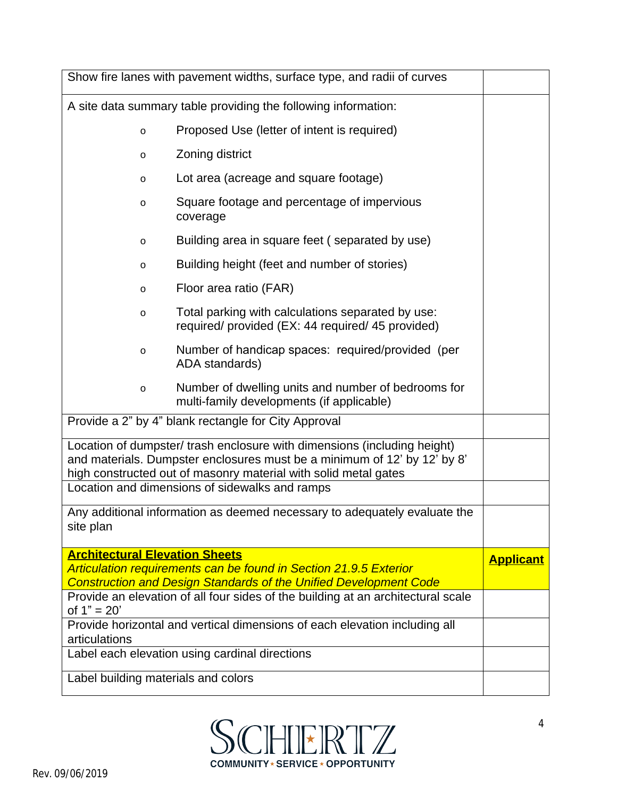| Show fire lanes with pavement widths, surface type, and radii of curves                                                                                                                                                 |  |  |  |  |  |
|-------------------------------------------------------------------------------------------------------------------------------------------------------------------------------------------------------------------------|--|--|--|--|--|
| A site data summary table providing the following information:                                                                                                                                                          |  |  |  |  |  |
| Proposed Use (letter of intent is required)<br>$\circ$                                                                                                                                                                  |  |  |  |  |  |
| Zoning district<br>$\circ$                                                                                                                                                                                              |  |  |  |  |  |
| Lot area (acreage and square footage)<br>$\circ$                                                                                                                                                                        |  |  |  |  |  |
| Square footage and percentage of impervious<br>$\circ$<br>coverage                                                                                                                                                      |  |  |  |  |  |
| Building area in square feet (separated by use)<br>$\circ$                                                                                                                                                              |  |  |  |  |  |
| Building height (feet and number of stories)<br>$\circ$                                                                                                                                                                 |  |  |  |  |  |
| Floor area ratio (FAR)<br>$\circ$                                                                                                                                                                                       |  |  |  |  |  |
| Total parking with calculations separated by use:<br>$\circ$<br>required/ provided (EX: 44 required/ 45 provided)                                                                                                       |  |  |  |  |  |
| Number of handicap spaces: required/provided (per<br>$\circ$<br>ADA standards)                                                                                                                                          |  |  |  |  |  |
| Number of dwelling units and number of bedrooms for<br>$\circ$<br>multi-family developments (if applicable)                                                                                                             |  |  |  |  |  |
| Provide a 2" by 4" blank rectangle for City Approval                                                                                                                                                                    |  |  |  |  |  |
| Location of dumpster/ trash enclosure with dimensions (including height)<br>and materials. Dumpster enclosures must be a minimum of 12' by 12' by 8'<br>high constructed out of masonry material with solid metal gates |  |  |  |  |  |
| Location and dimensions of sidewalks and ramps                                                                                                                                                                          |  |  |  |  |  |
| Any additional information as deemed necessary to adequately evaluate the<br>site plan                                                                                                                                  |  |  |  |  |  |
| <b>Architectural Elevation Sheets</b>                                                                                                                                                                                   |  |  |  |  |  |
| Articulation requirements can be found in Section 21.9.5 Exterior<br><b>Construction and Design Standards of the Unified Development Code</b>                                                                           |  |  |  |  |  |
| Provide an elevation of all four sides of the building at an architectural scale<br>of $1" = 20'$                                                                                                                       |  |  |  |  |  |
| Provide horizontal and vertical dimensions of each elevation including all<br>articulations                                                                                                                             |  |  |  |  |  |
| Label each elevation using cardinal directions                                                                                                                                                                          |  |  |  |  |  |
| Label building materials and colors                                                                                                                                                                                     |  |  |  |  |  |

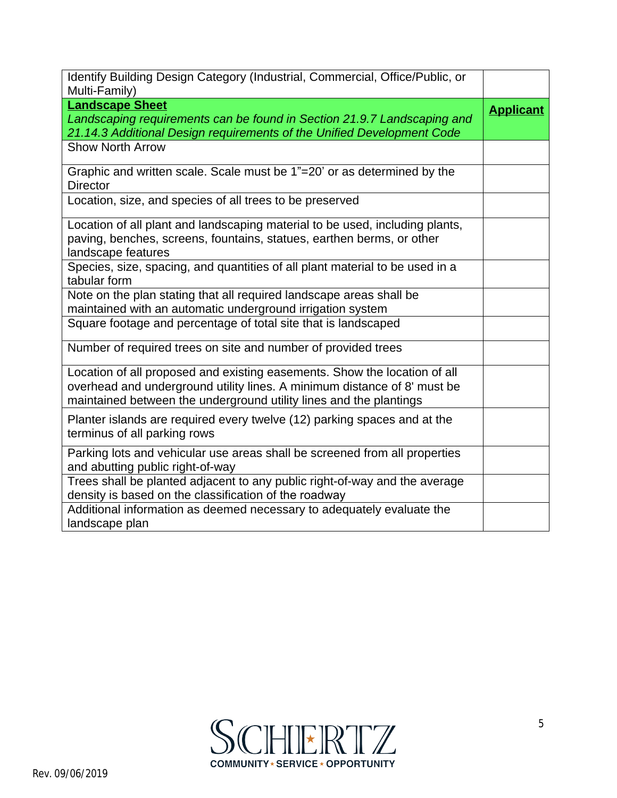| Identify Building Design Category (Industrial, Commercial, Office/Public, or<br>Multi-Family)                                                                                                                               |                  |
|-----------------------------------------------------------------------------------------------------------------------------------------------------------------------------------------------------------------------------|------------------|
| <b>Landscape Sheet</b><br>Landscaping requirements can be found in Section 21.9.7 Landscaping and<br>21.14.3 Additional Design requirements of the Unified Development Code                                                 | <b>Applicant</b> |
| <b>Show North Arrow</b>                                                                                                                                                                                                     |                  |
| Graphic and written scale. Scale must be 1"=20' or as determined by the<br><b>Director</b>                                                                                                                                  |                  |
| Location, size, and species of all trees to be preserved                                                                                                                                                                    |                  |
| Location of all plant and landscaping material to be used, including plants,<br>paving, benches, screens, fountains, statues, earthen berms, or other<br>landscape features                                                 |                  |
| Species, size, spacing, and quantities of all plant material to be used in a<br>tabular form                                                                                                                                |                  |
| Note on the plan stating that all required landscape areas shall be<br>maintained with an automatic underground irrigation system                                                                                           |                  |
| Square footage and percentage of total site that is landscaped                                                                                                                                                              |                  |
| Number of required trees on site and number of provided trees                                                                                                                                                               |                  |
| Location of all proposed and existing easements. Show the location of all<br>overhead and underground utility lines. A minimum distance of 8' must be<br>maintained between the underground utility lines and the plantings |                  |
| Planter islands are required every twelve (12) parking spaces and at the<br>terminus of all parking rows                                                                                                                    |                  |
| Parking lots and vehicular use areas shall be screened from all properties<br>and abutting public right-of-way                                                                                                              |                  |
| Trees shall be planted adjacent to any public right-of-way and the average<br>density is based on the classification of the roadway                                                                                         |                  |
| Additional information as deemed necessary to adequately evaluate the<br>landscape plan                                                                                                                                     |                  |

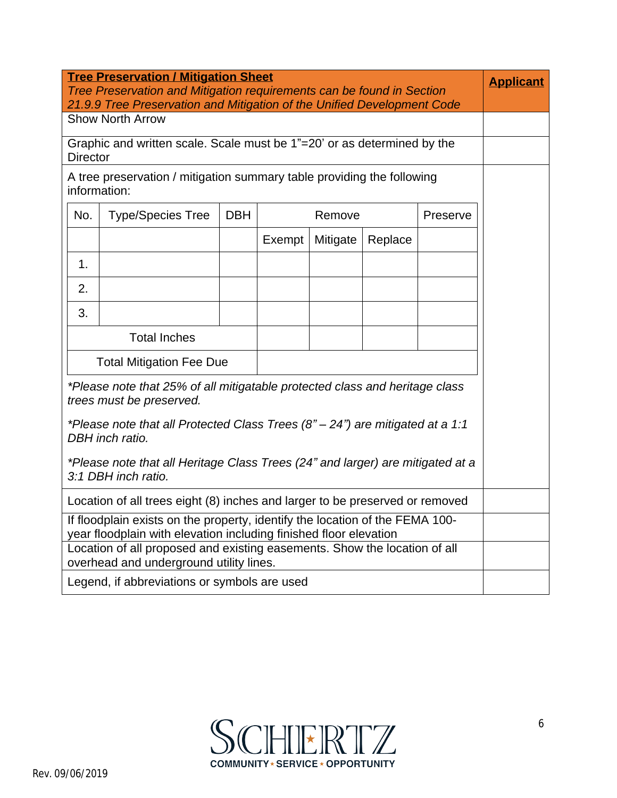| <b>Tree Preservation / Mitigation Sheet</b>                                                                                                       |                                                                         |            |                    |          | <b>Applicant</b> |  |  |
|---------------------------------------------------------------------------------------------------------------------------------------------------|-------------------------------------------------------------------------|------------|--------------------|----------|------------------|--|--|
|                                                                                                                                                   | Tree Preservation and Mitigation requirements can be found in Section   |            |                    |          |                  |  |  |
| 21.9.9 Tree Preservation and Mitigation of the Unified Development Code<br><b>Show North Arrow</b>                                                |                                                                         |            |                    |          |                  |  |  |
|                                                                                                                                                   | Graphic and written scale. Scale must be 1"=20' or as determined by the |            |                    |          |                  |  |  |
| <b>Director</b>                                                                                                                                   |                                                                         |            |                    |          |                  |  |  |
| A tree preservation / mitigation summary table providing the following<br>information:                                                            |                                                                         |            |                    |          |                  |  |  |
| No.                                                                                                                                               | <b>Type/Species Tree</b>                                                | <b>DBH</b> | Remove<br>Preserve |          |                  |  |  |
|                                                                                                                                                   |                                                                         |            | Exempt             | Mitigate | Replace          |  |  |
| 1.                                                                                                                                                |                                                                         |            |                    |          |                  |  |  |
| 2.                                                                                                                                                |                                                                         |            |                    |          |                  |  |  |
| 3.                                                                                                                                                |                                                                         |            |                    |          |                  |  |  |
|                                                                                                                                                   | <b>Total Inches</b>                                                     |            |                    |          |                  |  |  |
| <b>Total Mitigation Fee Due</b>                                                                                                                   |                                                                         |            |                    |          |                  |  |  |
| *Please note that 25% of all mitigatable protected class and heritage class                                                                       |                                                                         |            |                    |          |                  |  |  |
| trees must be preserved.                                                                                                                          |                                                                         |            |                    |          |                  |  |  |
| *Please note that all Protected Class Trees $(8n - 24n)$ are mitigated at a 1:1<br>DBH inch ratio.                                                |                                                                         |            |                    |          |                  |  |  |
| *Please note that all Heritage Class Trees (24" and larger) are mitigated at a                                                                    |                                                                         |            |                    |          |                  |  |  |
| 3:1 DBH inch ratio.                                                                                                                               |                                                                         |            |                    |          |                  |  |  |
| Location of all trees eight (8) inches and larger to be preserved or removed                                                                      |                                                                         |            |                    |          |                  |  |  |
| If floodplain exists on the property, identify the location of the FEMA 100-<br>year floodplain with elevation including finished floor elevation |                                                                         |            |                    |          |                  |  |  |
| Location of all proposed and existing easements. Show the location of all<br>overhead and underground utility lines.                              |                                                                         |            |                    |          |                  |  |  |
| Legend, if abbreviations or symbols are used                                                                                                      |                                                                         |            |                    |          |                  |  |  |
|                                                                                                                                                   |                                                                         |            |                    |          |                  |  |  |